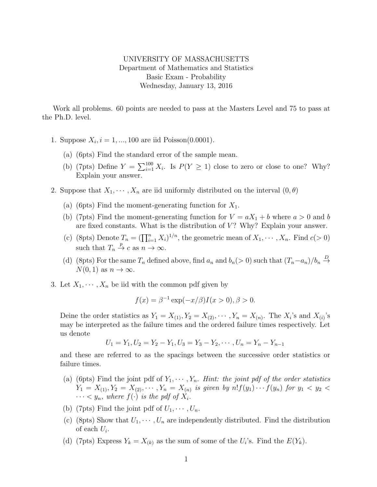## UNIVERSITY OF MASSACHUSETTS Department of Mathematics and Statistics Basic Exam - Probability Wednesday, January 13, 2016

Work all problems. 60 points are needed to pass at the Masters Level and 75 to pass at the Ph.D. level.

- 1. Suppose  $X_i$ ,  $i = 1, ..., 100$  are iid Poisson(0.0001).
	- (a) (6pts) Find the standard error of the sample mean.
	- (b) (7pts) Define  $Y = \sum_{i=1}^{100} X_i$ . Is  $P(Y \ge 1)$  close to zero or close to one? Why? Explain your answer.
- 2. Suppose that  $X_1, \dots, X_n$  are iid uniformly distributed on the interval  $(0, \theta)$ 
	- (a) (6pts) Find the moment-generating function for  $X_1$ .
	- (b) (7pts) Find the moment-generating function for  $V = aX_1 + b$  where  $a > 0$  and b are fixed constants. What is the distribution of  $V$ ? Why? Explain your answer.
	- (c) (8pts) Denote  $T_n = (\prod_{i=1}^n X_i)^{1/n}$ , the geometric mean of  $X_1, \dots, X_n$ . Find  $c(>0)$ such that  $T_n \stackrel{p}{\to} c$  as  $n \to \infty$ .
	- (d) (8pts) For the same  $T_n$  defined above, find  $a_n$  and  $b_n(> 0)$  such that  $(T_n a_n)/b_n \stackrel{D}{\to}$  $N(0, 1)$  as  $n \to \infty$ .
- 3. Let  $X_1, \dots, X_n$  be iid with the common pdf given by

$$
f(x) = \beta^{-1} \exp(-x/\beta) I(x > 0), \beta > 0.
$$

Deine the order statistics as  $Y_1 = X_{(1)}, Y_2 = X_{(2)}, \cdots, Y_n = X_{(n)}$ . The  $X_i$ 's and  $X_{(i)}$ 's may be interpreted as the failure times and the ordered failure times respectively. Let us denote

$$
U_1 = Y_1, U_2 = Y_2 - Y_1, U_3 = Y_3 - Y_2, \cdots, U_n = Y_n - Y_{n-1}
$$

and these are referred to as the spacings between the successive order statistics or failure times.

- (a) (6pts) Find the joint pdf of  $Y_1, \dots, Y_n$ . Hint: the joint pdf of the order statistics  $Y_1 = X_{(1)}, Y_2 = X_{(2)}, \cdots, Y_n = X_{(n)}$  is given by  $n! f(y_1) \cdots f(y_n)$  for  $y_1 < y_2 <$  $\cdots < y_n$ , where  $f(\cdot)$  is the pdf of  $X_i$ .
- (b) (7pts) Find the joint pdf of  $U_1, \dots, U_n$ .
- (c) (8pts) Show that  $U_1, \dots, U_n$  are independently distributed. Find the distribution of each  $U_i$ .
- (d) (7pts) Express  $Y_k = X_{(k)}$  as the sum of some of the  $U_i$ 's. Find the  $E(Y_k)$ .